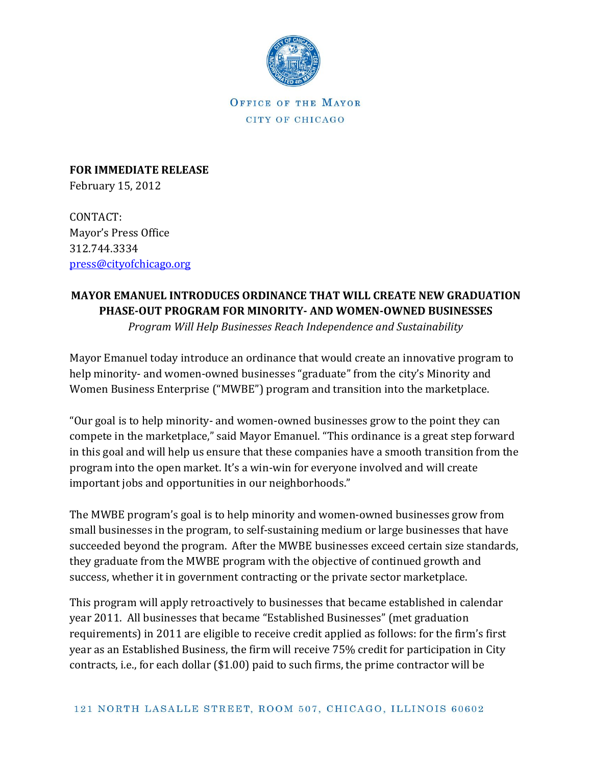

OFFICE OF THE MAYOR CITY OF CHICAGO

**FOR IMMEDIATE RELEASE** February 15, 2012

CONTACT: Mayor's Press Office 312.744.3334 [press@cityofchicago.org](mailto:press@cityofchicago.org)

## **MAYOR EMANUEL INTRODUCES ORDINANCE THAT WILL CREATE NEW GRADUATION PHASE-OUT PROGRAM FOR MINORITY- AND WOMEN-OWNED BUSINESSES**

*Program Will Help Businesses Reach Independence and Sustainability*

Mayor Emanuel today introduce an ordinance that would create an innovative program to help minority- and women-owned businesses "graduate" from the city's Minority and Women Business Enterprise ("MWBE") program and transition into the marketplace.

"Our goal is to help minority- and women-owned businesses grow to the point they can compete in the marketplace," said Mayor Emanuel. "This ordinance is a great step forward in this goal and will help us ensure that these companies have a smooth transition from the program into the open market. It's a win-win for everyone involved and will create important jobs and opportunities in our neighborhoods."

The MWBE program's goal is to help minority and women-owned businesses grow from small businesses in the program, to self-sustaining medium or large businesses that have succeeded beyond the program. After the MWBE businesses exceed certain size standards, they graduate from the MWBE program with the objective of continued growth and success, whether it in government contracting or the private sector marketplace.

This program will apply retroactively to businesses that became established in calendar year 2011. All businesses that became "Established Businesses" (met graduation requirements) in 2011 are eligible to receive credit applied as follows: for the firm's first year as an Established Business, the firm will receive 75% credit for participation in City contracts, i.e., for each dollar (\$1.00) paid to such firms, the prime contractor will be